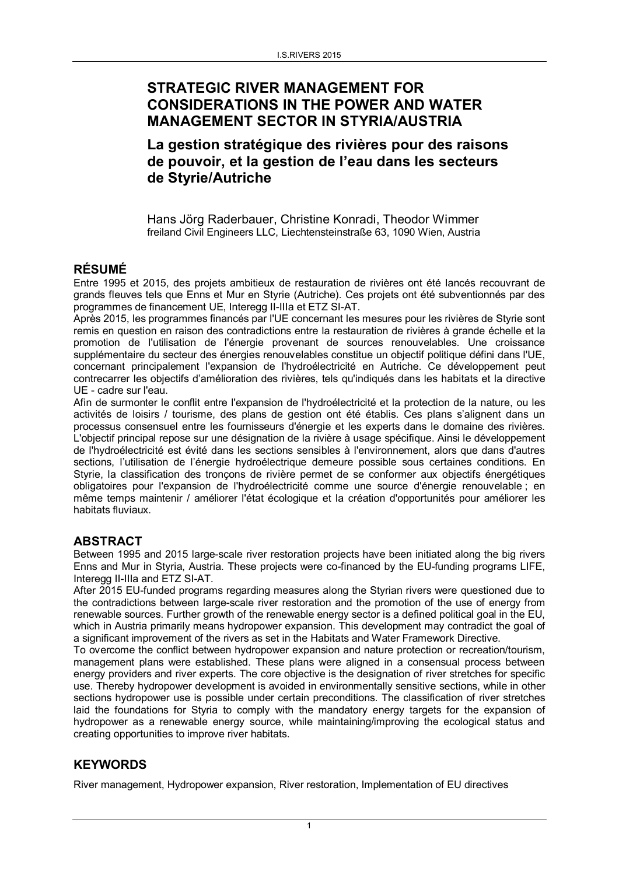# STRATEGIC RIVER MANAGEMENT FOR CONSIDERATIONS IN THE POWER AND WATER MANAGEMENT SECTOR IN STYRIA/AUSTRIA

La gestion stratégique des rivières pour des raisons de pouvoir, et la gestion de l'eau dans les secteurs de Styrie/Autriche

Hans Jörg Raderbauer, Christine Konradi, Theodor Wimmer freiland Civil Engineers LLC, Liechtensteinstraße 63, 1090 Wien, Austria

## RÉSUMÉ

Entre 1995 et 2015, des projets ambitieux de restauration de rivières ont été lancés recouvrant de grands fleuves tels que Enns et Mur en Styrie (Autriche). Ces projets ont été subventionnés par des programmes de financement UE, Interegg II-IIIa et ETZ SI-AT.

Après 2015, les programmes financés par l'UE concernant les mesures pour les rivières de Styrie sont remis en question en raison des contradictions entre la restauration de rivières à grande échelle et la promotion de l'utilisation de l'énergie provenant de sources renouvelables. Une croissance supplémentaire du secteur des énergies renouvelables constitue un objectif politique défini dans l'UE, concernant principalement l'expansion de l'hydroélectricité en Autriche. Ce développement peut contrecarrer les objectifs d'amélioration des rivières, tels qu'indiqués dans les habitats et la directive UE - cadre sur l'eau.

Afin de surmonter le conflit entre l'expansion de l'hydroélectricité et la protection de la nature, ou les activités de loisirs / tourisme, des plans de gestion ont été établis. Ces plans s'alignent dans un processus consensuel entre les fournisseurs d'énergie et les experts dans le domaine des rivières. L'objectif principal repose sur une désignation de la rivière à usage spécifique. Ainsi le développement de l'hydroélectricité est évité dans les sections sensibles à l'environnement, alors que dans d'autres sections, l'utilisation de l'énergie hydroélectrique demeure possible sous certaines conditions. En Styrie, la classification des tronçons de rivière permet de se conformer aux objectifs énergétiques obligatoires pour l'expansion de l'hydroélectricité comme une source d'énergie renouvelable ; en même temps maintenir / améliorer l'état écologique et la création d'opportunités pour améliorer les habitats fluviaux.

## ABSTRACT

Between 1995 and 2015 large-scale river restoration projects have been initiated along the big rivers Enns and Mur in Styria, Austria. These projects were co-financed by the EU-funding programs LIFE, Interegg II-IIIa and ETZ SI-AT.

After 2015 EU-funded programs regarding measures along the Styrian rivers were questioned due to the contradictions between large-scale river restoration and the promotion of the use of energy from renewable sources. Further growth of the renewable energy sector is a defined political goal in the EU, which in Austria primarily means hydropower expansion. This development may contradict the goal of a significant improvement of the rivers as set in the Habitats and Water Framework Directive.

To overcome the conflict between hydropower expansion and nature protection or recreation/tourism, management plans were established. These plans were aligned in a consensual process between energy providers and river experts. The core objective is the designation of river stretches for specific use. Thereby hydropower development is avoided in environmentally sensitive sections, while in other sections hydropower use is possible under certain preconditions. The classification of river stretches laid the foundations for Styria to comply with the mandatory energy targets for the expansion of hydropower as a renewable energy source, while maintaining/improving the ecological status and creating opportunities to improve river habitats.

## **KEYWORDS**

River management, Hydropower expansion, River restoration, Implementation of EU directives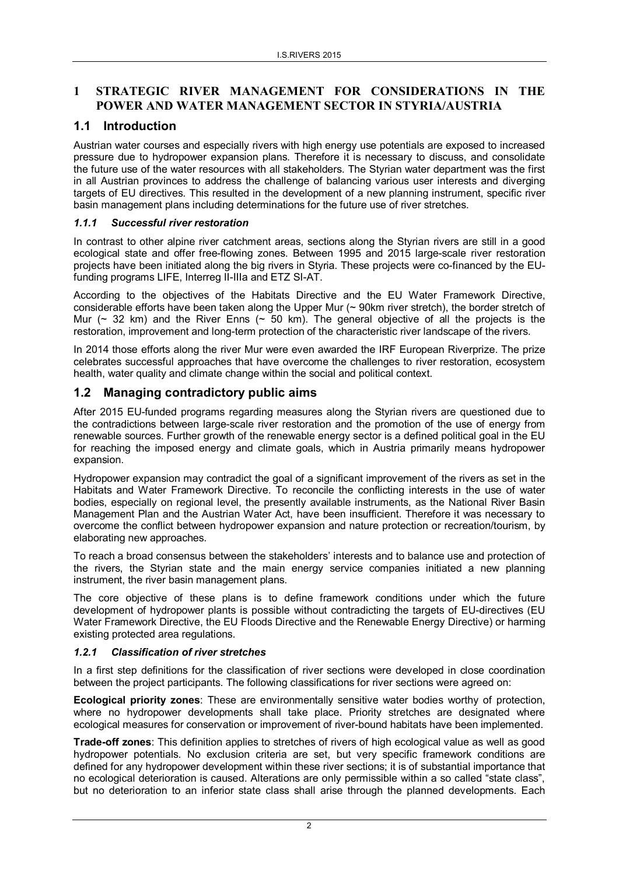### 1 STRATEGIC RIVER MANAGEMENT FOR CONSIDERATIONS IN THE POWER AND WATER MANAGEMENT SECTOR IN STYRIA/AUSTRIA

### 1.1 Introduction

Austrian water courses and especially rivers with high energy use potentials are exposed to increased pressure due to hydropower expansion plans. Therefore it is necessary to discuss, and consolidate the future use of the water resources with all stakeholders. The Styrian water department was the first in all Austrian provinces to address the challenge of balancing various user interests and diverging targets of EU directives. This resulted in the development of a new planning instrument, specific river basin management plans including determinations for the future use of river stretches.

#### *1.1.1 Successful river restoration*

In contrast to other alpine river catchment areas, sections along the Styrian rivers are still in a good ecological state and offer free-flowing zones. Between 1995 and 2015 large-scale river restoration projects have been initiated along the big rivers in Styria. These projects were co-financed by the EUfunding programs LIFE, Interreg II-IIIa and ETZ SI-AT.

According to the objectives of the Habitats Directive and the EU Water Framework Directive, considerable efforts have been taken along the Upper Mur (~ 90km river stretch), the border stretch of Mur  $($  32 km) and the River Enns  $($  50 km). The general objective of all the projects is the restoration, improvement and long-term protection of the characteristic river landscape of the rivers.

In 2014 those efforts along the river Mur were even awarded the IRF European Riverprize. The prize celebrates successful approaches that have overcome the challenges to river restoration, ecosystem health, water quality and climate change within the social and political context.

## 1.2 Managing contradictory public aims

After 2015 EU-funded programs regarding measures along the Styrian rivers are questioned due to the contradictions between large-scale river restoration and the promotion of the use of energy from renewable sources. Further growth of the renewable energy sector is a defined political goal in the EU for reaching the imposed energy and climate goals, which in Austria primarily means hydropower expansion.

Hydropower expansion may contradict the goal of a significant improvement of the rivers as set in the Habitats and Water Framework Directive. To reconcile the conflicting interests in the use of water bodies, especially on regional level, the presently available instruments, as the National River Basin Management Plan and the Austrian Water Act, have been insufficient. Therefore it was necessary to overcome the conflict between hydropower expansion and nature protection or recreation/tourism, by elaborating new approaches.

To reach a broad consensus between the stakeholders' interests and to balance use and protection of the rivers, the Styrian state and the main energy service companies initiated a new planning instrument, the river basin management plans.

The core objective of these plans is to define framework conditions under which the future development of hydropower plants is possible without contradicting the targets of EU-directives (EU Water Framework Directive, the EU Floods Directive and the Renewable Energy Directive) or harming existing protected area regulations.

#### *1.2.1 Classification of river stretches*

In a first step definitions for the classification of river sections were developed in close coordination between the project participants. The following classifications for river sections were agreed on:

Ecological priority zones: These are environmentally sensitive water bodies worthy of protection, where no hydropower developments shall take place. Priority stretches are designated where ecological measures for conservation or improvement of river-bound habitats have been implemented.

Trade-off zones: This definition applies to stretches of rivers of high ecological value as well as good hydropower potentials. No exclusion criteria are set, but very specific framework conditions are defined for any hydropower development within these river sections; it is of substantial importance that no ecological deterioration is caused. Alterations are only permissible within a so called "state class", but no deterioration to an inferior state class shall arise through the planned developments. Each